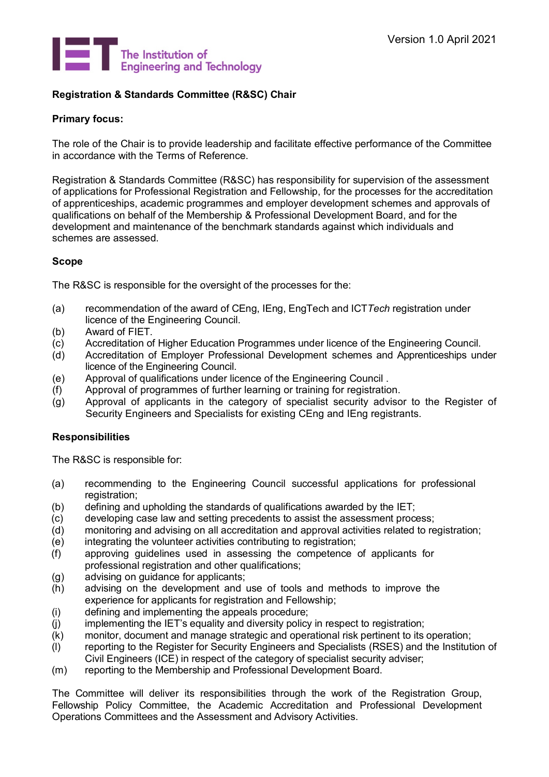<span id="page-0-0"></span>

# **Registration & Standards Committee (R&SC) Chair**

## **Primary focus:**

The role of the Chair is to provide leadership and facilitate effective performance of the Committee in accordance with the Terms of Reference.

Registration & Standards Committee (R&SC) has responsibility for supervision of the assessment of applications for Professional Registration and Fellowship, for the processes for the accreditation of apprenticeships, academic programmes and employer development schemes and approvals of qualifications on behalf of the Membership & Professional Development Board, and for the development and maintenance of the benchmark standards against which individuals and schemes are assessed.

## **Scope**

The R&SC is responsible for the oversight of the processes for the:

- (a) recommendation of the award of CEng, IEng, EngTech and ICT*Tech* registration under licence of the Engineering Council.
- (b) Award of FIET.
- (c) Accreditation of Higher Education Programmes under licence of the Engineering Council.
- (d) Accreditation of Employer Professional Development schemes and Apprenticeships under licence of the Engineering Council.
- (e) Approval of qualifications under licence of the Engineering Council .
- (f) Approval of programmes of further learning or training for registration.
- (g) Approval of applicants in the category of specialist security advisor to the Register of Security Engineers and Specialists for existing CEng and IEng registrants.

## **Responsibilities**

The R&SC is responsible for:

- (a) recommending to the Engineering Council successful applications for professional registration;
- (b) defining and upholding the standards of qualifications awarded by the IET;
- (c) developing case law and setting precedents to assist the assessment process;<br>(d) monitoring and advising on all accreditation and approval activities related to re
- monitoring and advising on all accreditation and approval activities related to registration;
- (e) integrating the volunteer activities contributing to registration;
- (f) approving guidelines used in assessing the competence of applicants for professional registration and other qualifications;
- (g) advising on guidance for applicants;
- (h) advising on the development and use of tools and methods to improve the experience for applicants for registration and Fellowship;
- (i) defining and implementing the appeals procedure;<br>(i) implementing the IET's equality and diversity policy
- implementing the IET's equality and diversity policy in respect to registration;
- (k) monitor, document and manage strategic and operational risk pertinent to its operation;
- (l) reporting to the Register for Security Engineers and Specialists (RSES) and the Institution of Civil Engineers (ICE) in respect of the category of specialist security adviser;
- (m) reporting to the Membership and Professional Development Board.

The Committee will deliver its responsibilities through the work of the Registration Group, Fellowship Policy Committee, the Academic Accreditation and Professional Development Operations Committees and the Assessment and Advisory Activities.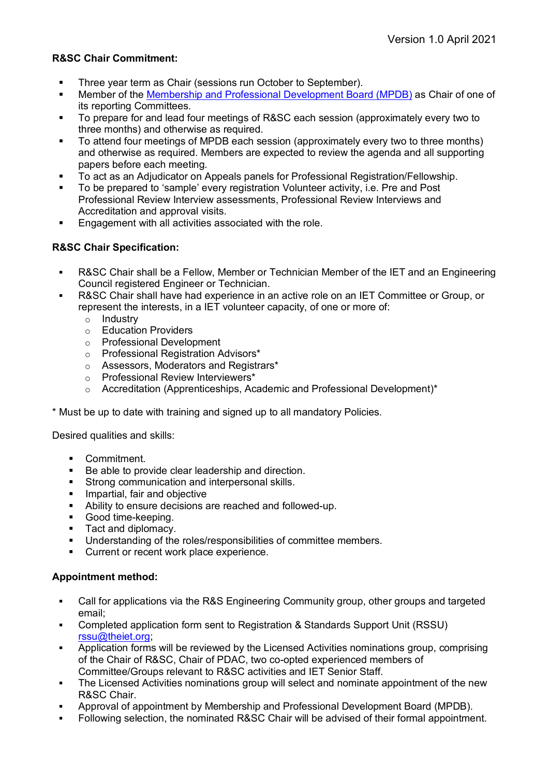# **R&SC Chair Commitment:**

- **Three year term as Chair (sessions run October to September).**
- **Member of the [Membership and Professional Development Board \(MPDB\)](https://www.theiet.org/about/governance/boards-and-committees/membership-and-professional-development-board-mpdb/) as Chair of one of** its reporting Committees.
- To prepare for and lead four meetings of R&SC each session (approximately every two to three months) and otherwise as required.
- To attend four meetings of MPDB each session (approximately every two to three months) and otherwise as required. Members are expected to review the agenda and all supporting papers before each meeting.
- To act as an Adjudicator on Appeals panels for Professional Registration/Fellowship.
- To be prepared to 'sample' every registration Volunteer activity, i.e. Pre and Post Professional Review Interview assessments, Professional Review Interviews and Accreditation and approval visits.
- Engagement with all activities associated with the role.

## **R&SC Chair Specification:**

- R&SC Chair shall be a Fellow, Member or Technician Member of the IET and an Engineering Council registered Engineer or Technician.
- R&SC Chair shall have had experience in an active role on an IET Committee or Group, or represent the interests, in a IET volunteer capacity, of one or more of:
	- o Industry
	- o Education Providers
	- o Professional Development
	- o Professional Registration Advisors\*
	- o Assessors, Moderators and Registrars\*
	- o Professional Review Interviewers\*
	- o Accreditation (Apprenticeships, Academic and Professional Development)\*
- \* Must be up to date with training and signed up to all mandatory Policies.

Desired qualities and skills:

- Commitment.
- Be able to provide clear leadership and direction.
- **Strong communication and interpersonal skills.**
- **Impartial, fair and objective**
- Ability to ensure decisions are reached and followed-up.
- **Good time-keeping.**
- Tact and diplomacy.
- Understanding of the roles/responsibilities of committee members.<br>■ Current or recent work place experience
- Current or recent work place experience.

## **Appointment method:**

- Call for applications via the R&S Engineering Community group, other groups and targeted email;
- Completed application form sent to Registration & Standards Support Unit (RSSU) [rssu@theiet.org;](mailto:rssu@theiet.org)
- Application forms will be reviewed by the Licensed Activities nominations group, comprising of the Chair of R&SC, Chair of PDAC, two co-opted experienced members of Committee/Groups relevant to R&SC activities and IET Senior Staff.
- The Licensed Activities nominations group will select and nominate appointment of the new R&SC Chair.
- Approval of appointment by Membership and Professional Development Board (MPDB).
- **Following selection, the nominated R&SC Chair will be advised of their formal appointment.**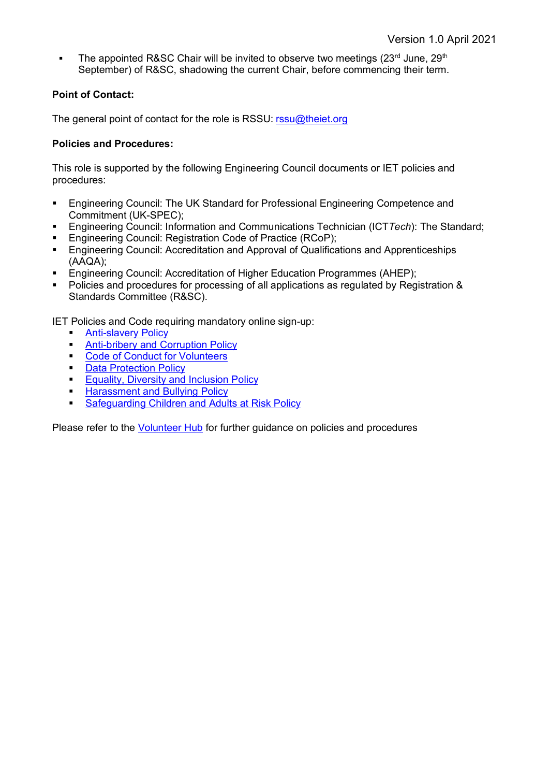The appointed R&SC Chair will be invited to observe two meetings  $(23<sup>rd</sup>$  June,  $29<sup>th</sup>$ September) of R&SC, shadowing the current Chair, before commencing their term.

# **Point of Contact:**

The general point of contact for the role is RSSU: [rssu@theiet.org](mailto:rssu@theiet.org)

## **Policies and Procedures:**

This role is supported by the following Engineering Council documents or IET policies and procedures:

- Engineering Council: The UK Standard for Professional Engineering Competence and Commitment (UK-SPEC);
- Engineering Council: Information and Communications Technician (ICT*Tech*): The Standard;
- Engineering Council: Registration Code of Practice (RCoP);
- **Engineering Council: Accreditation and Approval of Qualifications and Apprenticeships** (AAQA);
- Engineering Council: Accreditation of Higher Education Programmes (AHEP);
- Policies and procedures for processing of all applications as regulated by Registration & Standards Committee (R&SC).

IET Policies and Code requiring mandatory online sign-up:

- [Anti-slavery Policy](https://www.theiet.org/involved/volunteering-for-the-iet/volunteer-hub/our-policies/anti-slavery-policy/)
- **[Anti-bribery and Corruption Policy](http://www.theiet.org/volunteers/active/how-iet-works/bribery.cfm)**
- **[Code of Conduct for Volunteers](http://www.theiet.org/volunteers/active/how-iet-works/conduct.cfm)**
- **[Data Protection Policy](http://www.theiet.org/volunteers/active/how-iet-works/data-protection.cfm)**
- **[Equality, Diversity and Inclusion Policy](https://www.theiet.org/involved/volunteering-for-the-iet/volunteer-hub/our-policies/equality-diversity-and-inclusion/)**
- **[Harassment and Bullying Policy](http://www.theiet.org/volunteers/active/how-iet-works/bully-harass.cfm)**
- **[Safeguarding Children and Adults at Risk Policy](https://www.theiet.org/volunteers/active/how-iet-works/safeguarding-children-and-adults-at-risk.cfm)**

Please refer to the [Volunteer Hub](https://www.theiet.org/involved/volunteering-for-the-iet/volunteer-hub/our-policies/equality-diversity-and-inclusion/) for further guidance on policies and procedures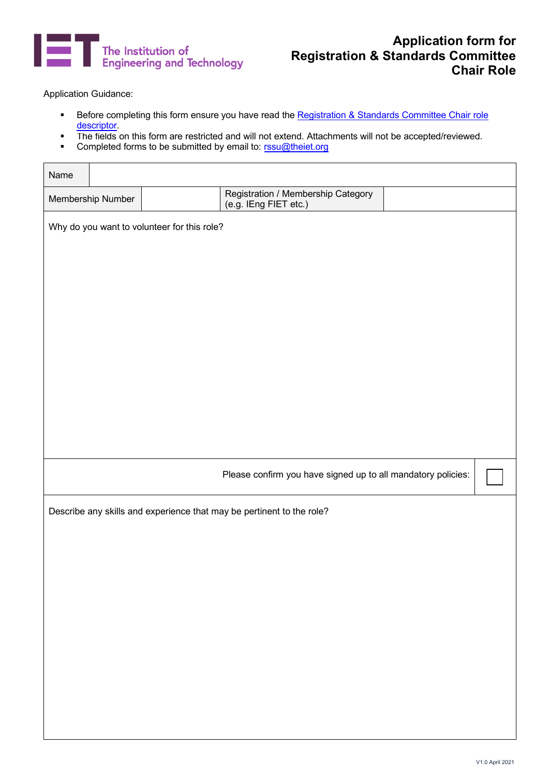

# **Application form for Registration & Standards Committee Chair Role**

Application Guidance:

- Before completing this form ensure you have read the [Registration & Standards Committee Chair](#page-0-0) role [descriptor.](#page-0-0)
- The fields on this form are restricted and will not extend. Attachments will not be accepted/reviewed.
- Completed forms to be submitted by email to: [rssu@theiet.org](mailto:rssu@theiet.org)

| Name                                                                  |  |  |                                                              |  |  |  |  |
|-----------------------------------------------------------------------|--|--|--------------------------------------------------------------|--|--|--|--|
| Membership Number                                                     |  |  | Registration / Membership Category<br>(e.g. IEng FIET etc.)  |  |  |  |  |
| Why do you want to volunteer for this role?                           |  |  |                                                              |  |  |  |  |
|                                                                       |  |  |                                                              |  |  |  |  |
|                                                                       |  |  |                                                              |  |  |  |  |
|                                                                       |  |  |                                                              |  |  |  |  |
|                                                                       |  |  |                                                              |  |  |  |  |
|                                                                       |  |  |                                                              |  |  |  |  |
|                                                                       |  |  |                                                              |  |  |  |  |
|                                                                       |  |  |                                                              |  |  |  |  |
|                                                                       |  |  |                                                              |  |  |  |  |
|                                                                       |  |  |                                                              |  |  |  |  |
|                                                                       |  |  | Please confirm you have signed up to all mandatory policies: |  |  |  |  |
| Describe any skills and experience that may be pertinent to the role? |  |  |                                                              |  |  |  |  |
|                                                                       |  |  |                                                              |  |  |  |  |
|                                                                       |  |  |                                                              |  |  |  |  |
|                                                                       |  |  |                                                              |  |  |  |  |
|                                                                       |  |  |                                                              |  |  |  |  |
|                                                                       |  |  |                                                              |  |  |  |  |
|                                                                       |  |  |                                                              |  |  |  |  |
|                                                                       |  |  |                                                              |  |  |  |  |
|                                                                       |  |  |                                                              |  |  |  |  |
|                                                                       |  |  |                                                              |  |  |  |  |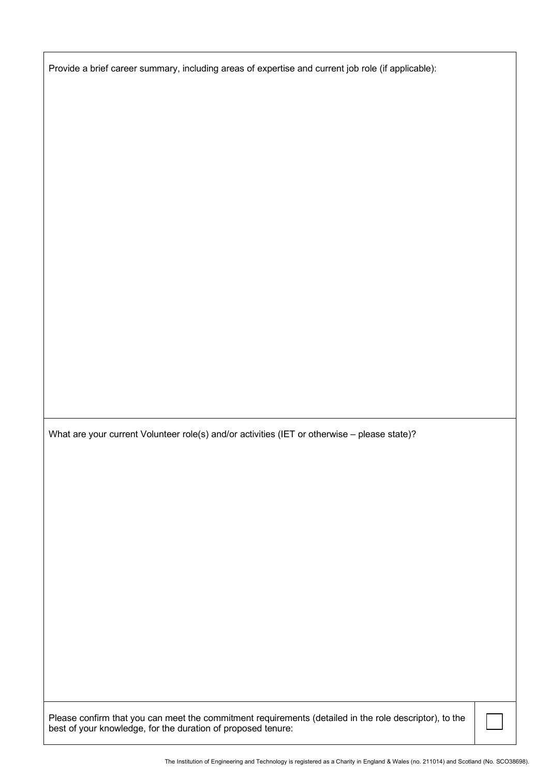Provide a brief career summary, including areas of expertise and current job role (if applicable):

What are your current Volunteer role(s) and/or activities (IET or otherwise – please state)?

Please confirm that you can meet the commitment requirements (detailed in the role descriptor), to the best of your knowledge, for the duration of proposed tenure: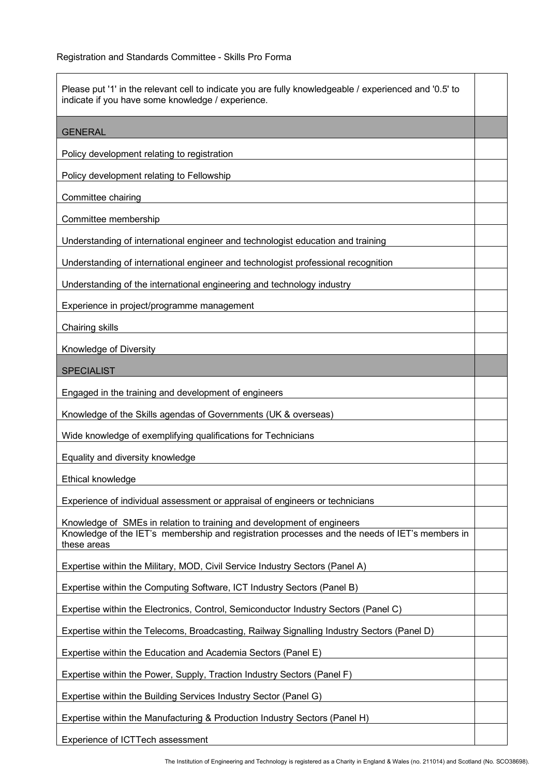| Please put '1' in the relevant cell to indicate you are fully knowledgeable / experienced and '0.5' to<br>indicate if you have some knowledge / experience.                             |  |  |  |  |
|-----------------------------------------------------------------------------------------------------------------------------------------------------------------------------------------|--|--|--|--|
| <b>GENERAL</b>                                                                                                                                                                          |  |  |  |  |
| Policy development relating to registration                                                                                                                                             |  |  |  |  |
| Policy development relating to Fellowship                                                                                                                                               |  |  |  |  |
| Committee chairing                                                                                                                                                                      |  |  |  |  |
| Committee membership                                                                                                                                                                    |  |  |  |  |
| Understanding of international engineer and technologist education and training                                                                                                         |  |  |  |  |
| Understanding of international engineer and technologist professional recognition                                                                                                       |  |  |  |  |
| Understanding of the international engineering and technology industry                                                                                                                  |  |  |  |  |
| Experience in project/programme management                                                                                                                                              |  |  |  |  |
| Chairing skills                                                                                                                                                                         |  |  |  |  |
| Knowledge of Diversity                                                                                                                                                                  |  |  |  |  |
| <b>SPECIALIST</b>                                                                                                                                                                       |  |  |  |  |
| Engaged in the training and development of engineers                                                                                                                                    |  |  |  |  |
| Knowledge of the Skills agendas of Governments (UK & overseas)                                                                                                                          |  |  |  |  |
| Wide knowledge of exemplifying qualifications for Technicians                                                                                                                           |  |  |  |  |
| Equality and diversity knowledge                                                                                                                                                        |  |  |  |  |
| Ethical knowledge                                                                                                                                                                       |  |  |  |  |
| Experience of individual assessment or appraisal of engineers or technicians                                                                                                            |  |  |  |  |
| Knowledge of SMEs in relation to training and development of engineers<br>Knowledge of the IET's membership and registration processes and the needs of IET's members in<br>these areas |  |  |  |  |
| Expertise within the Military, MOD, Civil Service Industry Sectors (Panel A)                                                                                                            |  |  |  |  |
| Expertise within the Computing Software, ICT Industry Sectors (Panel B)                                                                                                                 |  |  |  |  |
| Expertise within the Electronics, Control, Semiconductor Industry Sectors (Panel C)                                                                                                     |  |  |  |  |
| Expertise within the Telecoms, Broadcasting, Railway Signalling Industry Sectors (Panel D)                                                                                              |  |  |  |  |
| Expertise within the Education and Academia Sectors (Panel E)                                                                                                                           |  |  |  |  |
| Expertise within the Power, Supply, Traction Industry Sectors (Panel F)                                                                                                                 |  |  |  |  |
| Expertise within the Building Services Industry Sector (Panel G)                                                                                                                        |  |  |  |  |
| Expertise within the Manufacturing & Production Industry Sectors (Panel H)                                                                                                              |  |  |  |  |
| Experience of ICTTech assessment                                                                                                                                                        |  |  |  |  |